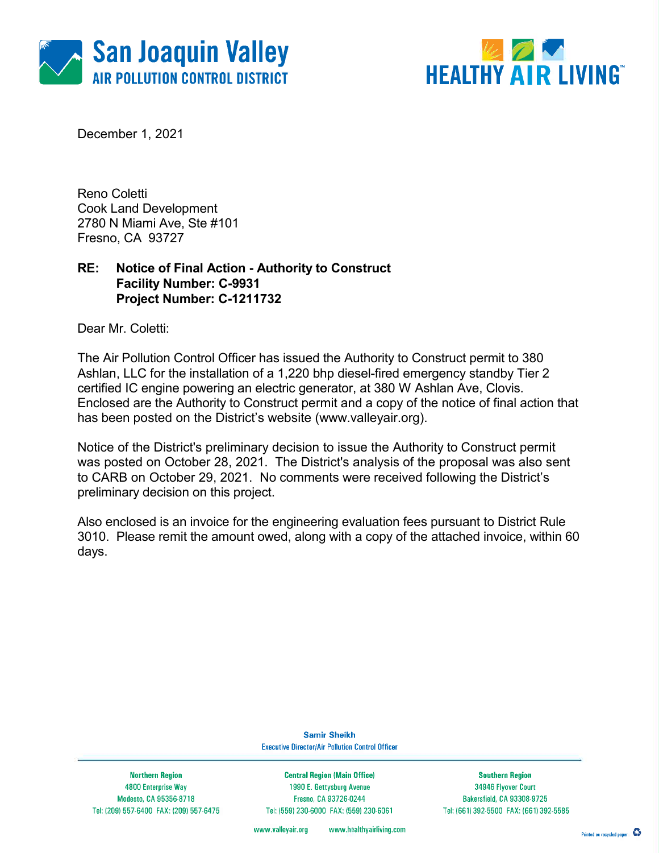



December 1, 2021

Reno Coletti Cook Land Development 2780 N Miami Ave, Ste #101 Fresno, CA 93727

### RE: Notice of Final Action - Authority to Construct Facility Number: C-9931 Project Number: C-1211732

Dear Mr. Coletti:

The Air Pollution Control Officer has issued the Authority to Construct permit to 380 Ashlan, LLC for the installation of a 1,220 bhp diesel-fired emergency standby Tier 2 certified IC engine powering an electric generator, at 380 W Ashlan Ave, Clovis. Enclosed are the Authority to Construct permit and a copy of the notice of final action that has been posted on the District's website (www.valleyair.org).

Notice of the District's preliminary decision to issue the Authority to Construct permit was posted on October 28, 2021. The District's analysis of the proposal was also sent to CARB on October 29, 2021. No comments were received following the District's preliminary decision on this project.

Also enclosed is an invoice for the engineering evaluation fees pursuant to District Rule 3010. Please remit the amount owed, along with a copy of the attached invoice, within 60 days.

> **Samir Sheikh Executive Director/Air Pollution Control Officer**

**Northern Region** 4800 Enterprise Way Modesto, CA 95356-8718 Tel: (209) 557-6400 FAX: (209) 557-6475

**Central Region (Main Office)** 1990 E. Gettysburg Avenue Fresno, CA 93726-0244 Tel: (559) 230-6000 FAX: (559) 230-6061

**Southern Region** 34946 Flyover Court Bakersfield, CA 93308-9725 Tel: (661) 392-5500 FAX: (661) 392-5585

www.healthyairliving.com www.valleyair.org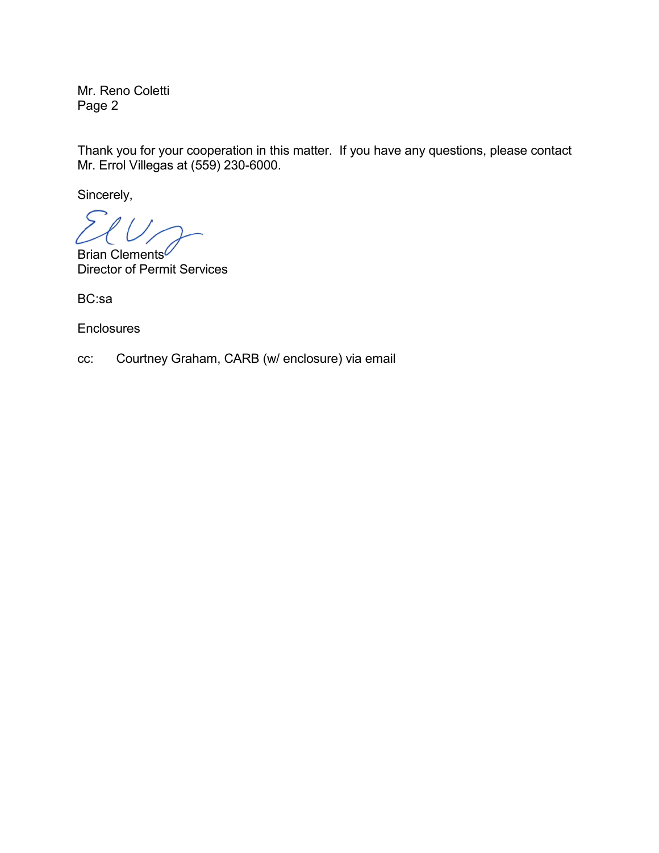Mr. Reno Coletti Page 2

Thank you for your cooperation in this matter. If you have any questions, please contact Mr. Errol Villegas at (559) 230-6000.

Sincerely,

Brian Clements<sup>*C*</sup> Director of Permit Services

BC:sa

**Enclosures** 

cc: Courtney Graham, CARB (w/ enclosure) via email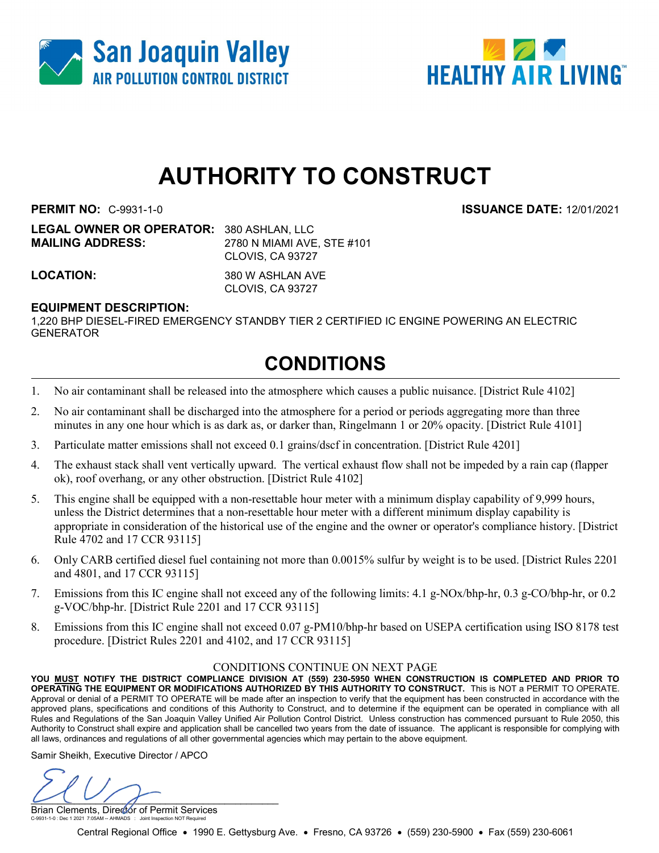



# AUTHORITY TO CONSTRUCT

PERMIT NO: C-9931-1-0 ISSUANCE DATE: 12/01/2021

LEGAL OWNER OR OPERATOR: 380 ASHLAN, LLC MAILING ADDRESS: 2780 N MIAMI AVE, STE #101 CLOVIS, CA 93727

LOCATION: 380 W ASHLAN AVE CLOVIS, CA 93727

#### EQUIPMENT DESCRIPTION:

1,220 BHP DIESEL-FIRED EMERGENCY STANDBY TIER 2 CERTIFIED IC ENGINE POWERING AN ELECTRIC **GENERATOR** 

## CONDITIONS

- 1. No air contaminant shall be released into the atmosphere which causes a public nuisance. [District Rule 4102]
- 2. No air contaminant shall be discharged into the atmosphere for a period or periods aggregating more than three minutes in any one hour which is as dark as, or darker than, Ringelmann 1 or 20% opacity. [District Rule 4101]
- 3. Particulate matter emissions shall not exceed 0.1 grains/dscf in concentration. [District Rule 4201]
- 4. The exhaust stack shall vent vertically upward. The vertical exhaust flow shall not be impeded by a rain cap (flapper ok), roof overhang, or any other obstruction. [District Rule 4102]
- 5. This engine shall be equipped with a non-resettable hour meter with a minimum display capability of 9,999 hours, unless the District determines that a non-resettable hour meter with a different minimum display capability is appropriate in consideration of the historical use of the engine and the owner or operator's compliance history. [District Rule 4702 and 17 CCR 93115]
- 6. Only CARB certified diesel fuel containing not more than 0.0015% sulfur by weight is to be used. [District Rules 2201 and 4801, and 17 CCR 93115]
- 7. Emissions from this IC engine shall not exceed any of the following limits: 4.1 g-NOx/bhp-hr, 0.3 g-CO/bhp-hr, or 0.2 g-VOC/bhp-hr. [District Rule 2201 and 17 CCR 93115]
- 8. Emissions from this IC engine shall not exceed 0.07 g-PM10/bhp-hr based on USEPA certification using ISO 8178 test procedure. [District Rules 2201 and 4102, and 17 CCR 93115]

#### CONDITIONS CONTINUE ON NEXT PAGE

YOU MUST NOTIFY THE DISTRICT COMPLIANCE DIVISION AT (559) 230-5950 WHEN CONSTRUCTION IS COMPLETED AND PRIOR TO OPERATING THE EQUIPMENT OR MODIFICATIONS AUTHORIZED BY THIS AUTHORITY TO CONSTRUCT. This is NOT a PERMIT TO OPERATE. Approval or denial of a PERMIT TO OPERATE will be made after an inspection to verify that the equipment has been constructed in accordance with the approved plans, specifications and conditions of this Authority to Construct, and to determine if the equipment can be operated in compliance with all Rules and Regulations of the San Joaquin Valley Unified Air Pollution Control District. Unless construction has commenced pursuant to Rule 2050, this Authority to Construct shall expire and application shall be cancelled two years from the date of issuance. The applicant is responsible for complying with all laws, ordinances and regulations of all other governmental agencies which may pertain to the above equipment.

Samir Sheikh, Executive Director / APCO

 $U \cup V$ 

Brian Clements, Director of Permit Services C-9931-1-0 : Dec 1 2021 7:05AM -- AHMADS : Joint Inspection NOT Required

Central Regional Office • 1990 E. Gettysburg Ave. • Fresno, CA 93726 • (559) 230-5900 • Fax (559) 230-6061